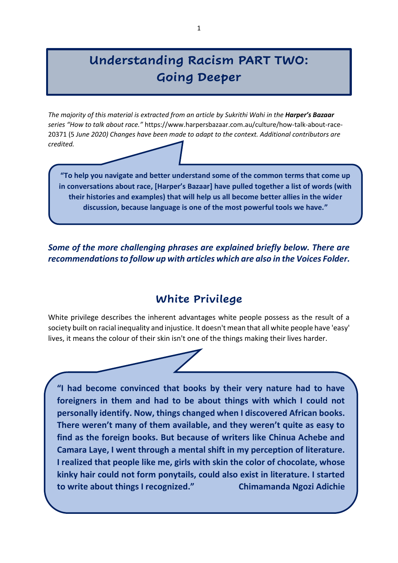# **Understanding Racism PART TWO: Going Deeper**

The majority of this material is extracted from an article by Sukrithi Wahi in the **Harper's Bazaar** *series "How to talk about race."* [https://www.harpersbazaar.com.au/culture/how-talk-about-race-](https://www.harpersbazaar.com.au/culture/how-talk-about-race-20371%20(5)[20371 \(5](https://www.harpersbazaar.com.au/culture/how-talk-about-race-20371%20(5) *June 2020) Changes have been made to adapt to the context. Additional contributors are credited.*

**"To help you navigate and better understand some of the common terms that come up in conversations about race, [Harper's Bazaar] have pulled together a list of words (with their histories and examples) that will help us all become better allies in the wider discussion, because language is one of the most powerful tools we have."**

*Some of the more challenging phrases are explained briefly below. There are recommendations to follow up with articles which are also in the Voices Folder.*

### **White Privilege**

White privilege describes the inherent advantages white people possess as the result of a society built on racial inequality and injustice. It doesn't mean that all white people have 'easy' lives, it means the colour of their skin isn't one of the things making their lives harder.



**"I had become convinced that books by their very nature had to have foreigners in them and had to be about things with which I could not personally identify. Now, things changed when I discovered African books. There weren't many of them available, and they weren't quite as easy to find as the foreign books. But because of writers like Chinua Achebe and Camara Laye, I went through a mental shift in my perception of literature. I realized that people like me, girls with skin the color of chocolate, whose kinky hair could not form ponytails, could also exist in literature. I started to write about things I recognized." Chimamanda Ngozi Adichie**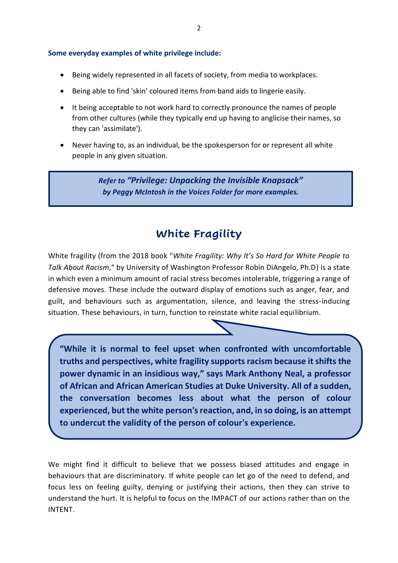- Being widely represented in all facets of society, from media to workplaces.
- Being able to find 'skin' coloured items from band aids to lingerie easily.
- It being acceptable to not work hard to correctly pronounce the names of people from other cultures (while they typically end up having to anglicise their names, so they can 'assimilate').
- Never having to, as an individual, be the spokesperson for or represent all white people in any given situation.

*Refer to "Privilege: Unpacking the Invisible Knapsack" by Peggy McIntosh in the Voices Folder for more examples.*

# **White Fragility**

White fragility (from the 2018 book "*White Fragility: Why It's So Hard for White People to Talk About Racism*," by University of Washington Professor Robin DiAngelo, Ph.D) is a state in which even a minimum amount of racial stress becomes intolerable, triggering a range of defensive moves. These include the outward display of emotions such as anger, fear, and guilt, and behaviours such as argumentation, silence, and leaving the stress-inducing situation. These behaviours, in turn, function to reinstate white racial equilibrium.

**"While it is normal to feel upset when confronted with uncomfortable truths and perspectives, white fragility supports racism because it shifts the power dynamic in an insidious way," says Mark Anthony Neal, a professor of African and African American Studies at Duke University. All of a sudden, the conversation becomes less about what the person of colour experienced, but the white person's reaction, and, in so doing, is an attempt to undercut the validity of the person of colour's experience.**

We might find it difficult to believe that we possess biased attitudes and engage in behaviours that are discriminatory. If white people can let go of the need to defend, and focus less on feeling guilty, denying or justifying their actions, then they can strive to understand the hurt. It is helpful to focus on the IMPACT of our actions rather than on the INTENT.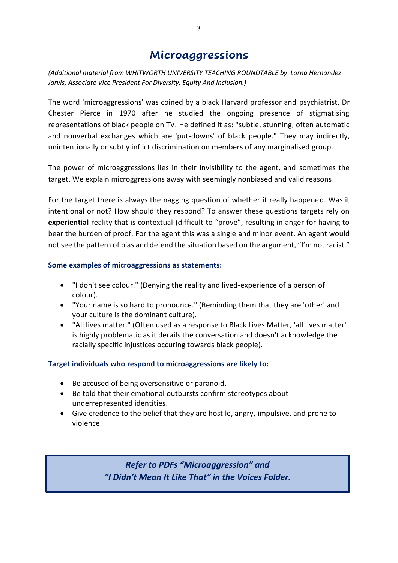### **Microaggressions**

*(Additional material from WHITWORTH UNIVERSITY TEACHING ROUNDTABLE by Lorna Hernandez Jarvis, Associate Vice President For Diversity, Equity And Inclusion.)*

The word 'microaggressions' was coined by a black Harvard professor and psychiatrist, Dr Chester Pierce in 1970 after he studied the ongoing presence of stigmatising representations of black people on TV. He defined it as: "subtle, stunning, often automatic and nonverbal exchanges which are 'put-downs' of black people." They may indirectly, unintentionally or subtly inflict discrimination on members of any marginalised group.

The power of microaggressions lies in their invisibility to the agent, and sometimes the target. We explain microggressions away with seemingly nonbiased and valid reasons.

For the target there is always the nagging question of whether it really happened. Was it intentional or not? How should they respond? To answer these questions targets rely on **experiential** reality that is contextual (difficult to "prove", resulting in anger for having to bear the burden of proof. For the agent this was a single and minor event. An agent would not see the pattern of bias and defend the situation based on the argument, "I'm not racist."

#### **Some examples of microaggressions as statements:**

- "I don't see colour." (Denying the reality and lived-experience of a person of colour).
- "Your name is so hard to pronounce." (Reminding them that they are 'other' and your culture is the dominant culture).
- "All lives matter." (Often used as a response to Black Lives Matter, 'all lives matter' is highly problematic as it derails the conversation and doesn't acknowledge the racially specific injustices occuring towards black people).

#### **Target individuals who respond to microaggressions are likely to:**

- Be accused of being oversensitive or paranoid.
- Be told that their emotional outbursts confirm stereotypes about underrepresented identities.
- Give credence to the belief that they are hostile, angry, impulsive, and prone to violence.

*Refer to PDFs "Microaggression" and "I Didn't Mean It Like That" in the Voices Folder.*